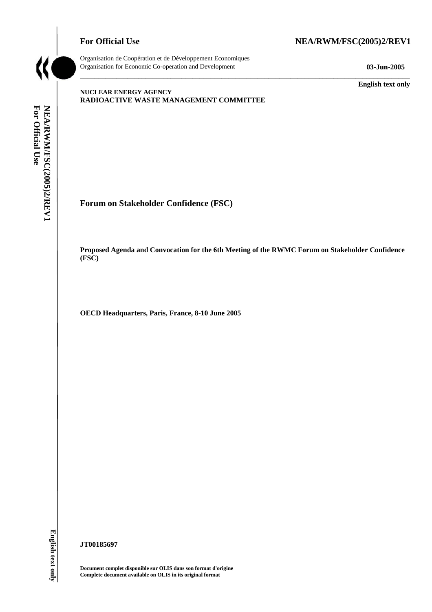# For Official Use NEA/RWM/FSC(2005)2/REV1



Organisation de Coopération et de Développement Economiques Organisation for Economic Co-operation and Development **03-Jun-2005** 

\_\_\_\_\_\_\_\_\_\_\_\_\_ **English text only** 

### **NUCLEAR ENERGY AGENCY RADIOACTIVE WASTE MANAGEMENT COMMITTEE**

**Forum on Stakeholder Confidence (FSC)** 

**Proposed Agenda and Convocation for the 6th Meeting of the RWMC Forum on Stakeholder Confidence (FSC)** 

\_\_\_\_\_\_\_\_\_\_\_\_\_\_\_\_\_\_\_\_\_\_\_\_\_\_\_\_\_\_\_\_\_\_\_\_\_\_\_\_\_\_\_\_\_\_\_\_\_\_\_\_\_\_\_\_\_\_\_\_\_\_\_\_\_\_\_\_\_\_\_\_\_\_\_\_\_\_\_\_\_\_\_\_\_\_\_\_\_\_\_

**OECD Headquarters, Paris, France, 8-10 June 2005** 

English text only

**JT00185697** 

**Document complet disponible sur OLIS dans son format d'origine Complete document available on OLIS in its original format**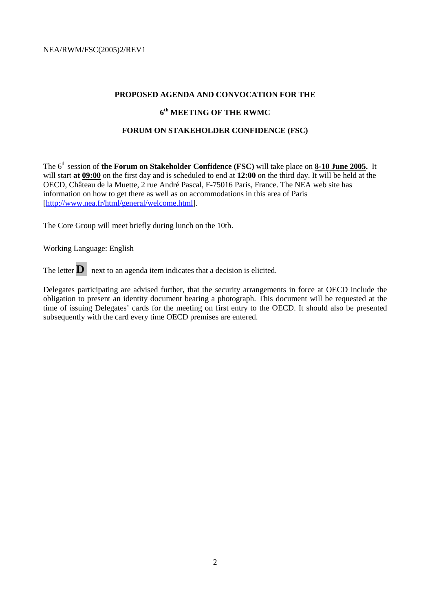### **PROPOSED AGENDA AND CONVOCATION FOR THE**

# **6th MEETING OF THE RWMC**

### **FORUM ON STAKEHOLDER CONFIDENCE (FSC)**

The 6th session of **the Forum on Stakeholder Confidence (FSC)** will take place on **8-10 June 2005.** It will start **at 09:00** on the first day and is scheduled to end at **12:00** on the third day. It will be held at the OECD, Château de la Muette, 2 rue André Pascal, F-75016 Paris, France. The NEA web site has information on how to get there as well as on accommodations in this area of Paris [http://www.nea.fr/html/general/welcome.html].

The Core Group will meet briefly during lunch on the 10th.

Working Language: English

The letter  $\mathbf{D}$  next to an agenda item indicates that a decision is elicited.

Delegates participating are advised further, that the security arrangements in force at OECD include the obligation to present an identity document bearing a photograph. This document will be requested at the time of issuing Delegates' cards for the meeting on first entry to the OECD. It should also be presented subsequently with the card every time OECD premises are entered.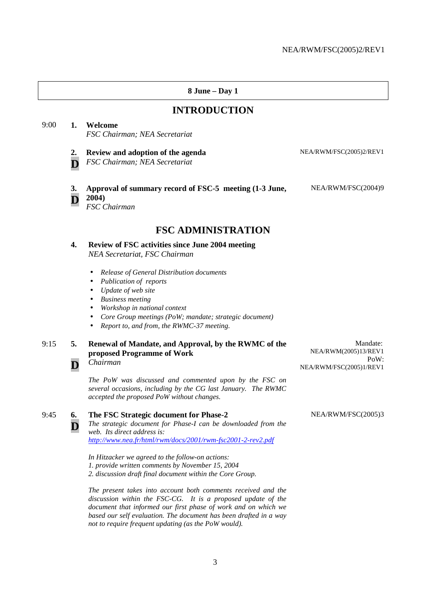### **8 June – Day 1 INTRODUCTION** 9:00 **1. Welcome**  *FSC Chairman; NEA Secretariat*  **2. D Review and adoption of the agenda**  *FSC Chairman; NEA Secretariat* NEA/RWM/FSC(2005)2/REV1 **3. D Approval of summary record of FSC-5 meeting (1-3 June, 2004)**  *FSC Chairman* NEA/RWM/FSC(2004)9 **FSC ADMINISTRATION 4. Review of FSC activities since June 2004 meeting**  *NEA Secretariat, FSC Chairman*  • *Release of General Distribution documents*  • *Publication of reports*  • *Update of web site*  • *Business meeting*  • *Workshop in national context*  • *Core Group meetings (PoW; mandate; strategic document)*  • *Report to, and from, the RWMC-37 meeting.*  9:15 **5. Renewal of Mandate, and Approval, by the RWMC of the proposed Programme of Work**  Mandate: NEA/RWM(2005)13/REV1 PoW:

*Chairman The PoW was discussed and commented upon by the FSC on* 

*several occasions, including by the CG last January. The RWMC accepted the proposed PoW without changes.* 

9:45 **6. D The FSC Strategic document for Phase-2**  *The strategic document for Phase-I can be downloaded from the web. Its direct address is: http://www.nea.fr/html/rwm/docs/2001/rwm-fsc2001-2-rev2.pdf* 

**D**

*In Hitzacker we agreed to the follow-on actions: 1. provide written comments by November 15, 2004* 

*2. discussion draft final document within the Core Group.* 

*The present takes into account both comments received and the discussion within the FSC-CG. It is a proposed update of the document that informed our first phase of work and on which we based our self evaluation. The document has been drafted in a way not to require frequent updating (as the PoW would).* 

NEA/RWM/FSC(2005)3

NEA/RWM/FSC(2005)1/REV1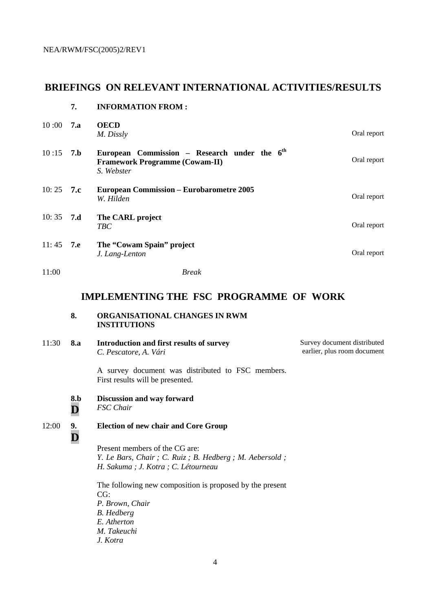# **BRIEFINGS ON RELEVANT INTERNATIONAL ACTIVITIES/RESULTS**

### **7. INFORMATION FROM :**

| $10:00$ 7.a |     | <b>OECD</b><br>M. Dissly                                                                                        | Oral report |
|-------------|-----|-----------------------------------------------------------------------------------------------------------------|-------------|
| 10:15       | 7.b | European Commission - Research under the 6 <sup>th</sup><br><b>Framework Programme (Cowam-II)</b><br>S. Webster | Oral report |
| 10:25 7.c   |     | <b>European Commission – Eurobarometre 2005</b><br>W. Hilden                                                    | Oral report |
| 10:35 7.d   |     | The CARL project<br><b>TBC</b>                                                                                  | Oral report |
| 11:45 7.e   |     | The "Cowam Spain" project<br>J. Lang-Lenton                                                                     | Oral report |
| 11:00       |     | <b>Break</b>                                                                                                    |             |

# **IMPLEMENTING THE FSC PROGRAMME OF WORK**

### **8. ORGANISATIONAL CHANGES IN RWM INSTITUTIONS**

11:30 **8.a Introduction and first results of survey**  *C. Pescatore, A. Vári* Survey document distributed earlier, plus room document

> A survey document was distributed to FSC members. First results will be presented.

**8.b Discussion and way forward** 

**D** *FSC Chair* 

#### 12:00 **9. Election of new chair and Core Group**

**D**

Present members of the CG are: *Y. Le Bars, Chair ; C. Ruiz ; B. Hedberg ; M. Aebersold ; H. Sakuma ; J. Kotra ; C. Létourneau* 

The following new composition is proposed by the present CG: *P. Brown, Chair B. Hedberg E. Atherton M. Takeuchi J. Kotra*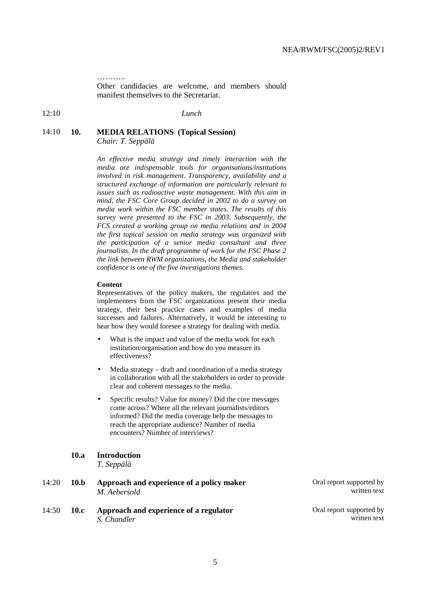. . . . . . . . . .

Other candidacies are welcome, and members should manifest themselves to the Secretariat.

12:10 *Lunch* 

# 14:10 **10. MEDIA RELATIONS (Topical Session)**

*Chair: T. Seppälä* 

*An effective media strategy and timely interaction with the media are indispensable tools for organisations/institutions involved in risk management. Transparency, availability and a structured exchange of information are particularly relevant to issues such as radioactive waste management. With this aim in mind, the FSC Core Group decided in 2002 to do a survey on media work within the FSC member states. The results of this survey were presented to the FSC in 2003. Subsequently, the FCS created a working group on media relations and in 2004 the first topical session on media strategy was organized with the participation of a senior media consultant and three journalists. In the draft programme of work for the FSC Phase 2 the link between RWM organizations, the Media and stakeholder confidence is one of the five investigations themes.* 

#### **Content**

Representatives of the policy makers, the regulators and the implementers from the FSC organizations present their media strategy, their best practice cases and examples of media successes and failures. Alternatively, it would be interesting to hear how they would foresee a strategy for dealing with media.

- What is the impact and value of the media work for each institution/organisation and how do you measure its effectiveness?
- Media strategy draft and coordination of a media strategy in collaboration with all the stakeholders in order to provide clear and coherent messages to the media.
- Specific results? Value for money? Did the core messages come across? Where all the relevant journalists/editors informed? Did the media coverage help the messages to reach the appropriate audience? Number of media encounters? Number of interviews?

### **10.a Introduction**

*T. Seppälä* 

- 14:20 **10.b Approach and experience of a policy maker**  *M. Aebersold*
- 14:50 **10.c Approach and experience of a regulator**  *S. Chandler*

Oral report supported by written text

Oral report supported by written text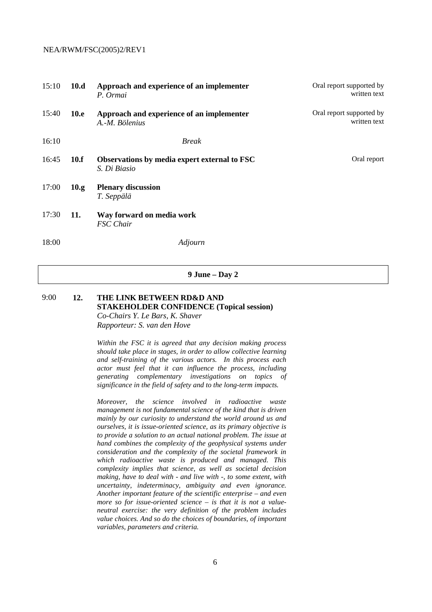| 15:10 | 10.d        | Approach and experience of an implementer<br>P. Ormai        | Oral report supported by<br>written text |
|-------|-------------|--------------------------------------------------------------|------------------------------------------|
| 15:40 | <b>10.e</b> | Approach and experience of an implementer<br>A.-M. Bölenius  | Oral report supported by<br>written text |
| 16:10 |             | <b>Break</b>                                                 |                                          |
| 16:45 | 10.f        | Observations by media expert external to FSC<br>S. Di Biasio | Oral report                              |
| 17:00 | 10.g.       | <b>Plenary discussion</b><br>T. Seppälä                      |                                          |
| 17:30 | 11.         | Way forward on media work<br><b>FSC</b> Chair                |                                          |
| 18:00 |             | Adjourn                                                      |                                          |

**9 June – Day 2** 

# 9:00 **12. THE LINK BETWEEN RD&D AND STAKEHOLDER CONFIDENCE (Topical session)**  *Co-Chairs Y. Le Bars, K. Shaver*

*Rapporteur: S. van den Hove* 

*Within the FSC it is agreed that any decision making process should take place in stages, in order to allow collective learning and self-training of the various actors. In this process each actor must feel that it can influence the process, including generating complementary investigations on topics of significance in the field of safety and to the long-term impacts.* 

*Moreover, the science involved in radioactive waste management is not fundamental science of the kind that is driven mainly by our curiosity to understand the world around us and ourselves, it is issue-oriented science, as its primary objective is to provide a solution to an actual national problem. The issue at hand combines the complexity of the geophysical systems under consideration and the complexity of the societal framework in which radioactive waste is produced and managed. This complexity implies that science, as well as societal decision making, have to deal with - and live with -, to some extent, with uncertainty, indeterminacy, ambiguity and even ignorance. Another important feature of the scientific enterprise – and even more so for issue-oriented science – is that it is not a valueneutral exercise: the very definition of the problem includes value choices. And so do the choices of boundaries, of important variables, parameters and criteria.*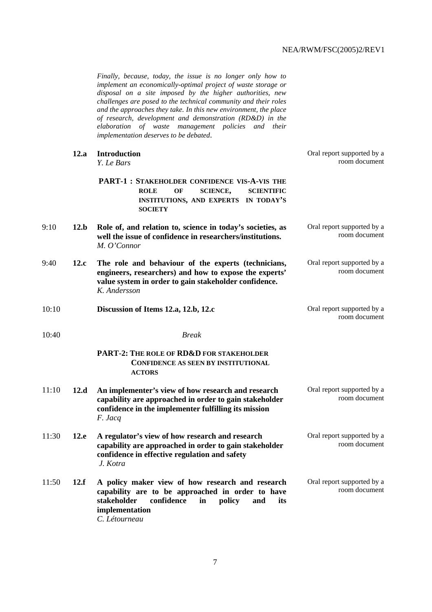*Finally, because, today, the issue is no longer only how to implement an economically-optimal project of waste storage or disposal on a site imposed by the higher authorities, new challenges are posed to the technical community and their roles and the approaches they take. In this new environment, the place of research, development and demonstration (RD&D) in the elaboration of waste management policies and their implementation deserves to be debated*.

|       | 12.a | <b>Introduction</b><br>Y. Le Bars                                                                                                                                                                  | Oral report supported by a<br>room document |
|-------|------|----------------------------------------------------------------------------------------------------------------------------------------------------------------------------------------------------|---------------------------------------------|
|       |      | PART-1 : STAKEHOLDER CONFIDENCE VIS-A-VIS THE<br><b>SCIENCE,</b><br><b>SCIENTIFIC</b><br><b>ROLE</b><br>OF<br>INSTITUTIONS, AND EXPERTS IN TODAY'S<br><b>SOCIETY</b>                               |                                             |
| 9:10  | 12.b | Role of, and relation to, science in today's societies, as<br>well the issue of confidence in researchers/institutions.<br>M. O'Connor                                                             | Oral report supported by a<br>room document |
| 9:40  | 12.c | The role and behaviour of the experts (technicians,<br>engineers, researchers) and how to expose the experts'<br>value system in order to gain stakeholder confidence.<br>K. Andersson             | Oral report supported by a<br>room document |
| 10:10 |      | Discussion of Items 12.a, 12.b, 12.c                                                                                                                                                               | Oral report supported by a<br>room document |
| 10:40 |      | <b>Break</b>                                                                                                                                                                                       |                                             |
|       |      | PART-2: THE ROLE OF RD&D FOR STAKEHOLDER<br><b>CONFIDENCE AS SEEN BY INSTITUTIONAL</b><br><b>ACTORS</b>                                                                                            |                                             |
| 11:10 | 12.d | An implementer's view of how research and research<br>capability are approached in order to gain stakeholder<br>confidence in the implementer fulfilling its mission<br>F. Jacq                    | Oral report supported by a<br>room document |
| 11:30 | 12.e | A regulator's view of how research and research<br>capability are approached in order to gain stakeholder<br>confidence in effective regulation and safety<br>J. Kotra                             | Oral report supported by a<br>room document |
| 11:50 | 12.f | A policy maker view of how research and research<br>capability are to be approached in order to have<br>stakeholder<br>confidence<br>in<br>policy<br>and<br>its<br>implementation<br>C. Létourneau | Oral report supported by a<br>room document |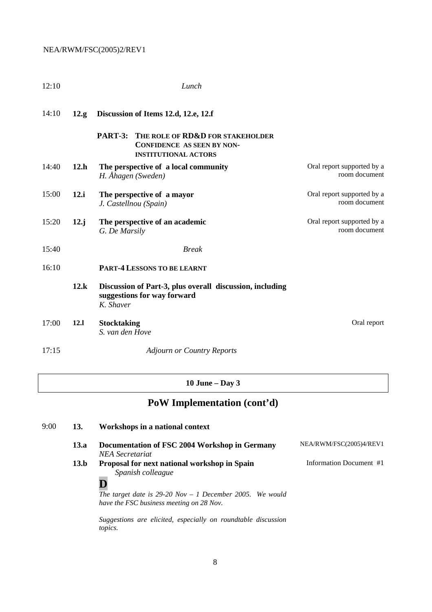| 12:10 |       | Lunch                                                                                                           |                                             |
|-------|-------|-----------------------------------------------------------------------------------------------------------------|---------------------------------------------|
| 14:10 | 12.g. | Discussion of Items 12.d, 12.e, 12.f                                                                            |                                             |
|       |       | PART-3:<br>THE ROLE OF RD&D FOR STAKEHOLDER<br><b>CONFIDENCE AS SEEN BY NON-</b><br><b>INSTITUTIONAL ACTORS</b> |                                             |
| 14:40 | 12.h  | The perspective of a local community<br>H. Åhagen (Sweden)                                                      | Oral report supported by a<br>room document |
| 15:00 | 12.i  | The perspective of a mayor<br>J. Castellnou (Spain)                                                             | Oral report supported by a<br>room document |
| 15:20 | 12. j | The perspective of an academic<br>G. De Marsily                                                                 | Oral report supported by a<br>room document |
| 15:40 |       | <b>Break</b>                                                                                                    |                                             |
| 16:10 |       | <b>PART-4 LESSONS TO BE LEARNT</b>                                                                              |                                             |
|       | 12.k  | Discussion of Part-3, plus overall discussion, including<br>suggestions for way forward<br>K. Shaver            |                                             |
| 17:00 | 12.1  | <b>Stocktaking</b><br>S. van den Hove                                                                           | Oral report                                 |
| 17:15 |       | <b>Adjourn or Country Reports</b>                                                                               |                                             |

# **10 June – Day 3**

# **PoW Implementation (cont'd)**

| 13.a | Documentation of FSC 2004 Workshop in Germany<br>NEA Secretariat                                     | NEA/RWM/FSC(2005)4/REV1 |
|------|------------------------------------------------------------------------------------------------------|-------------------------|
| 13.b | Proposal for next national workshop in Spain<br>Spanish colleague                                    | Information Document #1 |
|      | The target date is 29-20 Nov – 1 December 2005. We would<br>have the FSC business meeting on 28 Nov. |                         |

*Suggestions are elicited, especially on roundtable discussion topics.* 

9:00 **13. Workshops in a national context**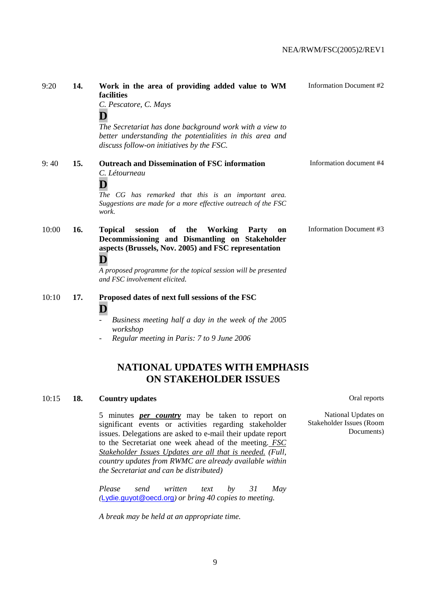| 9:20  | 14. | Work in the area of providing added value to WM<br>facilities<br>C. Pescatore, C. Mays<br>The Secretariat has done background work with a view to<br>better understanding the potentialities in this area and<br>discuss follow-on initiatives by the FSC.                                | Information Document #2 |
|-------|-----|-------------------------------------------------------------------------------------------------------------------------------------------------------------------------------------------------------------------------------------------------------------------------------------------|-------------------------|
| 9:40  | 15. | <b>Outreach and Dissemination of FSC information</b><br>C. Létourneau<br>The CG has remarked that this is an important area.<br>Suggestions are made for a more effective outreach of the FSC<br>work.                                                                                    | Information document #4 |
| 10:00 | 16. | the<br>session<br>of<br><b>Working</b><br>Party<br><b>Topical</b><br>on<br>Decommissioning and Dismantling on Stakeholder<br>aspects (Brussels, Nov. 2005) and FSC representation<br>D<br>A proposed programme for the topical session will be presented<br>and FSC involvement elicited. | Information Document #3 |
| 10:10 | 17. | Proposed dates of next full sessions of the FSC<br>D<br>Business meeting half a day in the week of the 2005<br>workshop<br>Regular meeting in Paris: 7 to 9 June 2006                                                                                                                     |                         |

# **NATIONAL UPDATES WITH EMPHASIS ON STAKEHOLDER ISSUES**

## 10:15 **18. Country updates Oral reports**

5 minutes *per country* may be taken to report on significant events or activities regarding stakeholder issues. Delegations are asked to e-mail their update report to the Secretariat one week ahead of the meeting. *FSC Stakeholder Issues Updates are all that is needed. (Full, country updates from RWMC are already available within the Secretariat and can be distributed)*

*Please send written text by 31 May (*Lydie.guyot@oecd.org*) or bring 40 copies to meeting.* 

*A break may be held at an appropriate time.* 

National Updates on Stakeholder Issues (Room Documents)